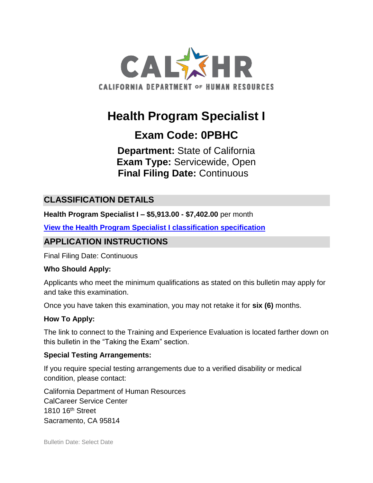

# **Health Program Specialist I**

# **Exam Code: 0PBHC**

**Department:** State of California **Exam Type:** Servicewide, Open **Final Filing Date:** Continuous

### **CLASSIFICATION DETAILS**

**Health Program Specialist I – \$5,913.00 - \$7,402.00** per month

**[View the Health Program Specialist I classification specification](https://www.calhr.ca.gov/state-hr-professionals/pages/8337.aspx)**

## **APPLICATION INSTRUCTIONS**

Final Filing Date: Continuous

#### **Who Should Apply:**

Applicants who meet the minimum qualifications as stated on this bulletin may apply for and take this examination.

Once you have taken this examination, you may not retake it for **six (6)** months.

#### **How To Apply:**

The link to connect to the Training and Experience Evaluation is located farther down on this bulletin in the "Taking the Exam" section.

#### **Special Testing Arrangements:**

If you require special testing arrangements due to a verified disability or medical condition, please contact:

California Department of Human Resources CalCareer Service Center 1810 16<sup>th</sup> Street Sacramento, CA 95814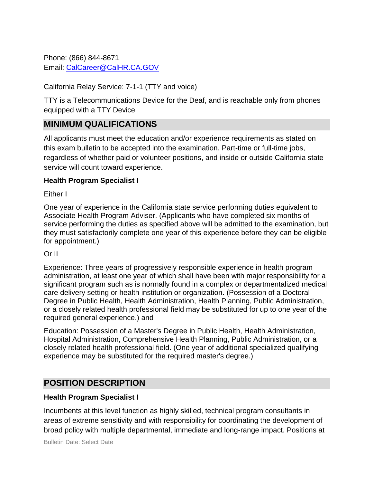Phone: (866) 844-8671 Email: [CalCareer@CalHR.CA.GOV](mailto:CalCareer@CalHR.CA.GOV)

#### California Relay Service: 7-1-1 (TTY and voice)

TTY is a Telecommunications Device for the Deaf, and is reachable only from phones equipped with a TTY Device

### **MINIMUM QUALIFICATIONS**

All applicants must meet the education and/or experience requirements as stated on this exam bulletin to be accepted into the examination. Part-time or full-time jobs, regardless of whether paid or volunteer positions, and inside or outside California state service will count toward experience.

#### **Health Program Specialist I**

Either I

One year of experience in the California state service performing duties equivalent to Associate Health Program Adviser. (Applicants who have completed six months of service performing the duties as specified above will be admitted to the examination, but they must satisfactorily complete one year of this experience before they can be eligible for appointment.)

#### Or II

Experience: Three years of progressively responsible experience in health program administration, at least one year of which shall have been with major responsibility for a significant program such as is normally found in a complex or departmentalized medical care delivery setting or health institution or organization. (Possession of a Doctoral Degree in Public Health, Health Administration, Health Planning, Public Administration, or a closely related health professional field may be substituted for up to one year of the required general experience.) and

Education: Possession of a Master's Degree in Public Health, Health Administration, Hospital Administration, Comprehensive Health Planning, Public Administration, or a closely related health professional field. (One year of additional specialized qualifying experience may be substituted for the required master's degree.)

### **POSITION DESCRIPTION**

#### **Health Program Specialist I**

Incumbents at this level function as highly skilled, technical program consultants in areas of extreme sensitivity and with responsibility for coordinating the development of broad policy with multiple departmental, immediate and long-range impact. Positions at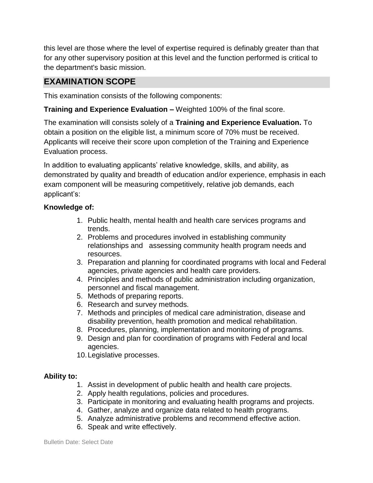this level are those where the level of expertise required is definably greater than that for any other supervisory position at this level and the function performed is critical to the department's basic mission.

### **EXAMINATION SCOPE**

This examination consists of the following components:

**Training and Experience Evaluation –** Weighted 100% of the final score.

The examination will consists solely of a **Training and Experience Evaluation.** To obtain a position on the eligible list, a minimum score of 70% must be received. Applicants will receive their score upon completion of the Training and Experience Evaluation process.

In addition to evaluating applicants' relative knowledge, skills, and ability, as demonstrated by quality and breadth of education and/or experience, emphasis in each exam component will be measuring competitively, relative job demands, each applicant's:

#### **Knowledge of:**

- 1. Public health, mental health and health care services programs and trends.
- 2. Problems and procedures involved in establishing community relationships and assessing community health program needs and resources.
- 3. Preparation and planning for coordinated programs with local and Federal agencies, private agencies and health care providers.
- 4. Principles and methods of public administration including organization, personnel and fiscal management.
- 5. Methods of preparing reports.
- 6. Research and survey methods.
- 7. Methods and principles of medical care administration, disease and disability prevention, health promotion and medical rehabilitation.
- 8. Procedures, planning, implementation and monitoring of programs.
- 9. Design and plan for coordination of programs with Federal and local agencies.
- 10.Legislative processes.

#### **Ability to:**

- 1. Assist in development of public health and health care projects.
- 2. Apply health regulations, policies and procedures.
- 3. Participate in monitoring and evaluating health programs and projects.
- 4. Gather, analyze and organize data related to health programs.
- 5. Analyze administrative problems and recommend effective action.
- 6. Speak and write effectively.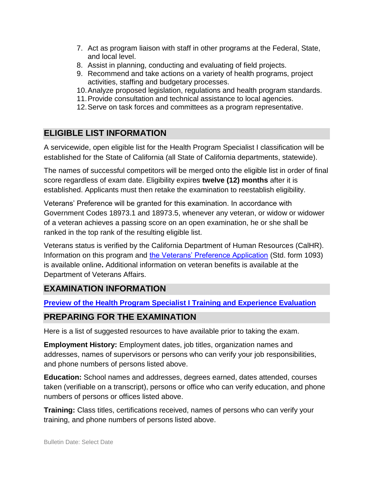- 7. Act as program liaison with staff in other programs at the Federal, State, and local level.
- 8. Assist in planning, conducting and evaluating of field projects.
- 9. Recommend and take actions on a variety of health programs, project activities, staffing and budgetary processes.
- 10.Analyze proposed legislation, regulations and health program standards.
- 11.Provide consultation and technical assistance to local agencies.
- 12.Serve on task forces and committees as a program representative.

# **ELIGIBLE LIST INFORMATION**

A servicewide, open eligible list for the Health Program Specialist I classification will be established for the State of California (all State of California departments, statewide).

The names of successful competitors will be merged onto the eligible list in order of final score regardless of exam date. Eligibility expires **twelve (12) months** after it is established. Applicants must then retake the examination to reestablish eligibility.

Veterans' Preference will be granted for this examination. In accordance with Government Codes 18973.1 and 18973.5, whenever any veteran, or widow or widower of a veteran achieves a passing score on an open examination, he or she shall be ranked in the top rank of the resulting eligible list.

Veterans status is verified by the California Department of Human Resources (CalHR). Information on this program and [the Veterans' Preference Application](https://www.jobs.ca.gov/CalHRPublic/Landing/Jobs/VeteransInformation.aspx) (Std. form 1093) is available online**.** Additional information on veteran benefits is available at the Department of Veterans Affairs.

# **EXAMINATION INFORMATION**

**Preview of the [Health Program Specialist I Training and Experience Evaluation](https://jobs.ca.gov/jobsgen/0PBHCa.pdf)** 

# **PREPARING FOR THE EXAMINATION**

Here is a list of suggested resources to have available prior to taking the exam.

**Employment History:** Employment dates, job titles, organization names and addresses, names of supervisors or persons who can verify your job responsibilities, and phone numbers of persons listed above.

**Education:** School names and addresses, degrees earned, dates attended, courses taken (verifiable on a transcript), persons or office who can verify education, and phone numbers of persons or offices listed above.

**Training:** Class titles, certifications received, names of persons who can verify your training, and phone numbers of persons listed above.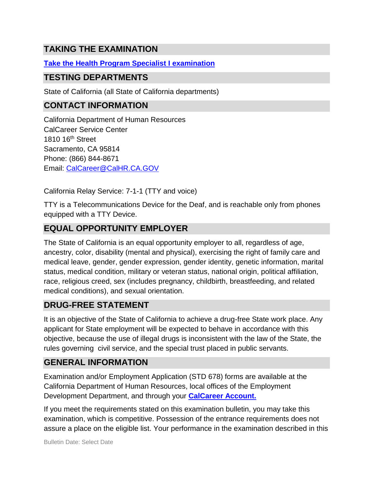# **TAKING THE EXAMINATION**

### **Take the [Health Program Specialist I examination](https://www.jobs.ca.gov/CalHRPublic/Login.aspx?ExamId=0PBHC)**

### **TESTING DEPARTMENTS**

State of California (all State of California departments)

# **CONTACT INFORMATION**

California Department of Human Resources CalCareer Service Center 1810 16<sup>th</sup> Street Sacramento, CA 95814 Phone: (866) 844-8671 Email: [CalCareer@CalHR.CA.GOV](mailto:CalCareer@CalHR.CA.GOV)

California Relay Service: 7-1-1 (TTY and voice)

TTY is a Telecommunications Device for the Deaf, and is reachable only from phones equipped with a TTY Device.

# **EQUAL OPPORTUNITY EMPLOYER**

The State of California is an equal opportunity employer to all, regardless of age, ancestry, color, disability (mental and physical), exercising the right of family care and medical leave, gender, gender expression, gender identity, genetic information, marital status, medical condition, military or veteran status, national origin, political affiliation, race, religious creed, sex (includes pregnancy, childbirth, breastfeeding, and related medical conditions), and sexual orientation.

### **DRUG-FREE STATEMENT**

It is an objective of the State of California to achieve a drug-free State work place. Any applicant for State employment will be expected to behave in accordance with this objective, because the use of illegal drugs is inconsistent with the law of the State, the rules governing civil service, and the special trust placed in public servants.

# **GENERAL INFORMATION**

Examination and/or Employment Application (STD 678) forms are available at the California Department of Human Resources, local offices of the Employment Development Department, and through your **[CalCareer Account.](http://www.jobs.ca.gov/)**

If you meet the requirements stated on this examination bulletin, you may take this examination, which is competitive. Possession of the entrance requirements does not assure a place on the eligible list. Your performance in the examination described in this